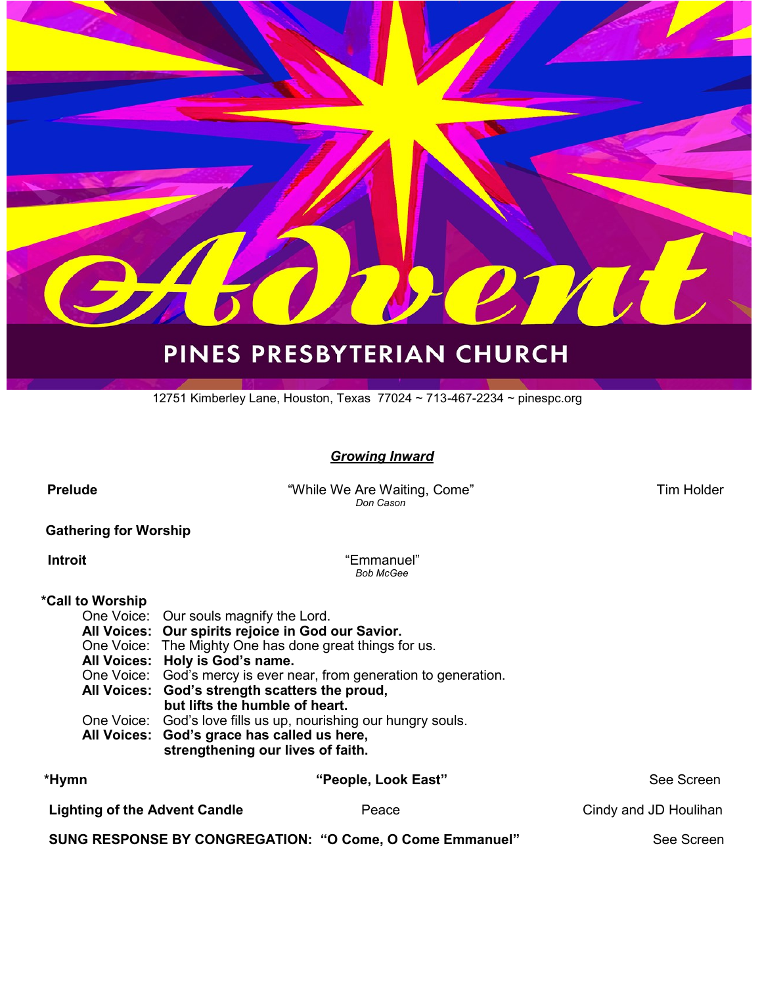

# PINES PRESBYTERIAN CHURCH

12751 Kimberley Lane, Houston, Texas 77024 ~ 713-467-2234 ~ pinespc.org

#### *Growing Inward*

 **Prelude** "While We Are Waiting, Come" Tim Holder *Don Cason* 

#### **Gathering for Worship**

 **Introit** "Emmanuel" *Bob McGee*

#### **\*Call to Worship**

| $*11$ | $\mathbf{F} = \mathbf{F} \mathbf{F} + \mathbf{F} \mathbf{F}$                     | $P_{\text{max}}$ $P_{\text{max}}$ |
|-------|----------------------------------------------------------------------------------|-----------------------------------|
|       | All Voices: God's grace has called us here,<br>strengthening our lives of faith. |                                   |
|       |                                                                                  |                                   |
|       | One Voice: God's love fills us up, nourishing our hungry souls.                  |                                   |
|       | but lifts the humble of heart.                                                   |                                   |
|       | All Voices: God's strength scatters the proud,                                   |                                   |
|       |                                                                                  |                                   |
|       | One Voice: God's mercy is ever near, from generation to generation.              |                                   |
|       | All Voices: Holy is God's name.                                                  |                                   |
|       |                                                                                  |                                   |
|       | One Voice: The Mighty One has done great things for us.                          |                                   |
|       | All Voices: Our spirits rejoice in God our Savior.                               |                                   |
|       |                                                                                  |                                   |
|       | One Voice: Our souls magnify the Lord.                                           |                                   |

| *Hymn                                                    | "People, Look East" | See Screen            |
|----------------------------------------------------------|---------------------|-----------------------|
| <b>Lighting of the Advent Candle</b>                     | Peace               | Cindy and JD Houlihan |
| SUNG RESPONSE BY CONGREGATION: "O Come, O Come Emmanuel" |                     | See Screen            |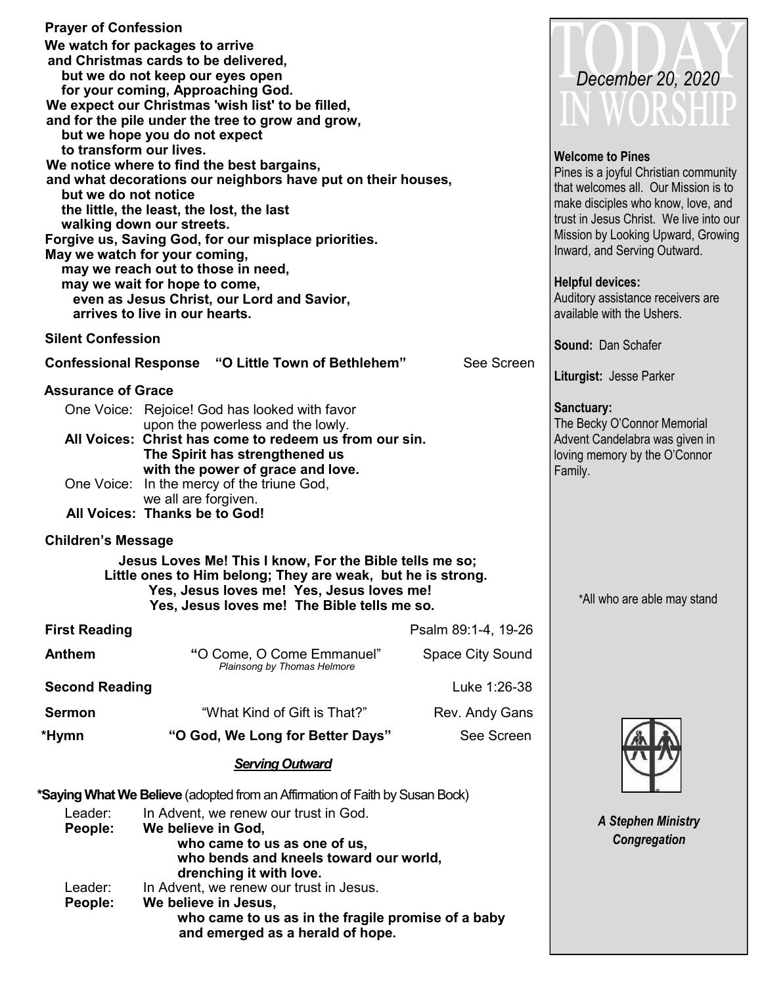| <b>Prayer of Confession</b>                                                  |                                                                             |                     |                                         |
|------------------------------------------------------------------------------|-----------------------------------------------------------------------------|---------------------|-----------------------------------------|
|                                                                              | We watch for packages to arrive                                             |                     |                                         |
|                                                                              | and Christmas cards to be delivered,                                        |                     |                                         |
|                                                                              | but we do not keep our eyes open<br>for your coming, Approaching God.       |                     | December 20, 2020                       |
|                                                                              | We expect our Christmas 'wish list' to be filled,                           |                     |                                         |
|                                                                              | and for the pile under the tree to grow and grow,                           |                     | IN WORSHII                              |
|                                                                              | but we hope you do not expect                                               |                     |                                         |
| to transform our lives.                                                      |                                                                             |                     | <b>Welcome to Pines</b>                 |
|                                                                              | We notice where to find the best bargains,                                  |                     | Pines is a joyful Christian community   |
| but we do not notice                                                         | and what decorations our neighbors have put on their houses,                |                     | that welcomes all. Our Mission is to    |
|                                                                              | the little, the least, the lost, the last                                   |                     | make disciples who know, love, and      |
|                                                                              | walking down our streets.                                                   |                     | trust in Jesus Christ. We live into our |
|                                                                              | Forgive us, Saving God, for our misplace priorities.                        |                     | Mission by Looking Upward, Growing      |
|                                                                              | May we watch for your coming,                                               |                     | Inward, and Serving Outward.            |
|                                                                              | may we reach out to those in need,                                          |                     | <b>Helpful devices:</b>                 |
|                                                                              | may we wait for hope to come,<br>even as Jesus Christ, our Lord and Savior, |                     | Auditory assistance receivers are       |
|                                                                              | arrives to live in our hearts.                                              |                     | available with the Ushers.              |
|                                                                              |                                                                             |                     |                                         |
| <b>Silent Confession</b>                                                     |                                                                             |                     | <b>Sound: Dan Schafer</b>               |
|                                                                              | <b>Confessional Response "O Little Town of Bethlehem"</b>                   | See Screen          |                                         |
| <b>Assurance of Grace</b>                                                    |                                                                             |                     | Liturgist: Jesse Parker                 |
|                                                                              | One Voice: Rejoice! God has looked with favor                               |                     | Sanctuary:                              |
|                                                                              | upon the powerless and the lowly.                                           |                     | The Becky O'Connor Memorial             |
|                                                                              | All Voices: Christ has come to redeem us from our sin.                      |                     | Advent Candelabra was given in          |
|                                                                              | The Spirit has strengthened us<br>with the power of grace and love.         |                     | loving memory by the O'Connor           |
|                                                                              | One Voice: In the mercy of the triune God,                                  |                     | Family.                                 |
|                                                                              | we all are forgiven.                                                        |                     |                                         |
|                                                                              | All Voices: Thanks be to God!                                               |                     |                                         |
| <b>Children's Message</b>                                                    |                                                                             |                     |                                         |
|                                                                              | Jesus Loves Me! This I know, For the Bible tells me so;                     |                     |                                         |
|                                                                              | Little ones to Him belong; They are weak, but he is strong.                 |                     |                                         |
|                                                                              | Yes, Jesus loves me! Yes, Jesus loves me!                                   |                     | *All who are able may stand             |
|                                                                              | Yes, Jesus loves me! The Bible tells me so.                                 |                     |                                         |
| <b>First Reading</b>                                                         |                                                                             | Psalm 89:1-4, 19-26 |                                         |
| <b>Anthem</b>                                                                | "O Come, O Come Emmanuel"                                                   | Space City Sound    |                                         |
|                                                                              | Plainsong by Thomas Helmore                                                 |                     |                                         |
| <b>Second Reading</b>                                                        |                                                                             | Luke 1:26-38        |                                         |
| <b>Sermon</b>                                                                | "What Kind of Gift is That?"                                                | Rev. Andy Gans      |                                         |
| *Hymn                                                                        | "O God, We Long for Better Days"                                            | See Screen          |                                         |
|                                                                              | <b>Serving Outward</b>                                                      |                     |                                         |
| *Saying What We Believe (adopted from an Affirmation of Faith by Susan Bock) |                                                                             |                     |                                         |
| Leader:                                                                      | In Advent, we renew our trust in God.                                       |                     |                                         |
| People:                                                                      | We believe in God,                                                          |                     | <b>A Stephen Ministry</b>               |
|                                                                              | who came to us as one of us,                                                |                     | Congregation                            |
|                                                                              | who bends and kneels toward our world,                                      |                     |                                         |
| Leader:                                                                      | drenching it with love.<br>In Advent, we renew our trust in Jesus.          |                     |                                         |
| People:                                                                      | We believe in Jesus,                                                        |                     |                                         |
|                                                                              | who came to us as in the fragile promise of a baby                          |                     |                                         |
|                                                                              | and emerged as a herald of hope.                                            |                     |                                         |
|                                                                              |                                                                             |                     |                                         |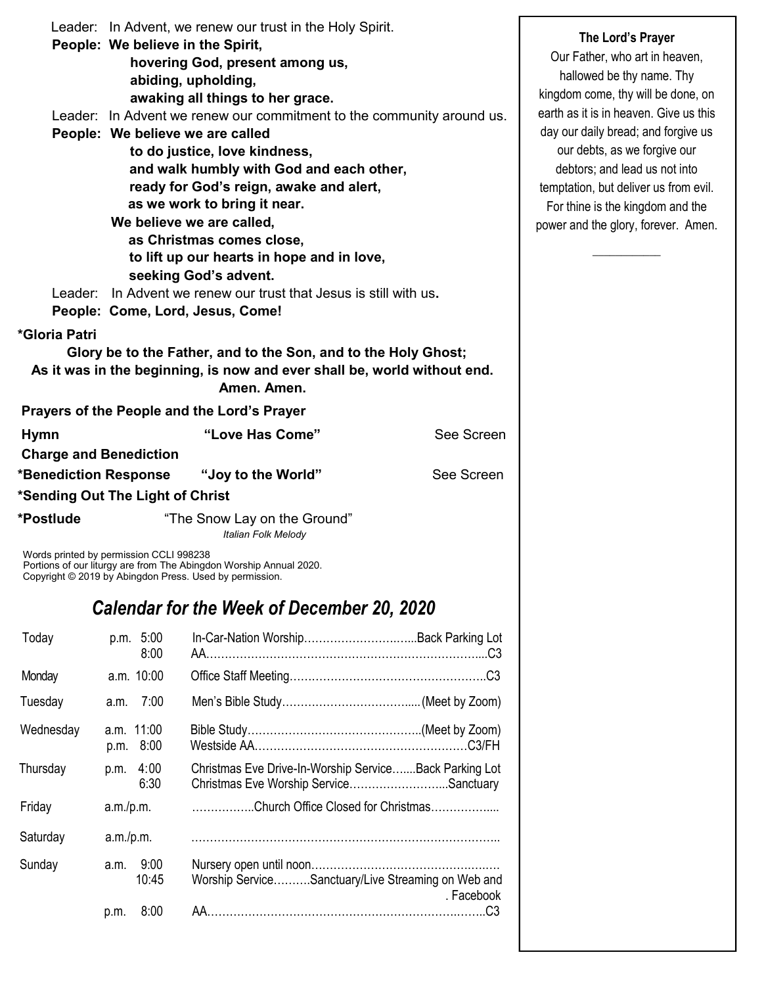|                               | Leader: In Advent, we renew our trust in the Holy Spirit.                                                                                  |            |  |
|-------------------------------|--------------------------------------------------------------------------------------------------------------------------------------------|------------|--|
|                               | People: We believe in the Spirit,                                                                                                          |            |  |
|                               | hovering God, present among us,                                                                                                            |            |  |
|                               | abiding, upholding,                                                                                                                        |            |  |
|                               | awaking all things to her grace.                                                                                                           |            |  |
|                               | Leader: In Advent we renew our commitment to the community around us.                                                                      |            |  |
|                               | People: We believe we are called                                                                                                           |            |  |
|                               | to do justice, love kindness,                                                                                                              |            |  |
|                               | and walk humbly with God and each other,                                                                                                   |            |  |
|                               | ready for God's reign, awake and alert,                                                                                                    |            |  |
|                               | as we work to bring it near.                                                                                                               |            |  |
|                               | We believe we are called,<br>as Christmas comes close,                                                                                     |            |  |
|                               | to lift up our hearts in hope and in love,                                                                                                 |            |  |
|                               | seeking God's advent.                                                                                                                      |            |  |
| Leader:                       | In Advent we renew our trust that Jesus is still with us.                                                                                  |            |  |
|                               | People: Come, Lord, Jesus, Come!                                                                                                           |            |  |
| *Gloria Patri                 |                                                                                                                                            |            |  |
|                               |                                                                                                                                            |            |  |
|                               | Glory be to the Father, and to the Son, and to the Holy Ghost;<br>As it was in the beginning, is now and ever shall be, world without end. |            |  |
|                               | Amen. Amen.                                                                                                                                |            |  |
|                               | Prayers of the People and the Lord's Prayer                                                                                                |            |  |
| <b>Hymn</b>                   | "Love Has Come"                                                                                                                            | See Screen |  |
| <b>Charge and Benediction</b> |                                                                                                                                            |            |  |
|                               |                                                                                                                                            | See Screen |  |
|                               | *Sending Out The Light of Christ                                                                                                           |            |  |
| *Postlude                     | "The Snow Lay on the Ground"<br><b>Italian Folk Melody</b>                                                                                 |            |  |
|                               | Words printed by permission CCLI 998238<br>Portions of our liturgy are from The Abingdon Worship Annual 2020.                              |            |  |

Copyright © 2019 by Abingdon Press. Used by permission.

# *Calendar for the Week of December 20, 2020*

| Today     | p.m. 5:00<br>8:00       | In-Car-Nation Worship Back Parking Lot                                                           |
|-----------|-------------------------|--------------------------------------------------------------------------------------------------|
| Monday    | a.m. 10:00              |                                                                                                  |
| Tuesday   | a.m. 7:00               |                                                                                                  |
| Wednesday | a.m. 11:00<br>p.m. 8:00 |                                                                                                  |
| Thursday  | 4:00<br>p.m.<br>6:30    | Christmas Eve Drive-In-Worship ServiceBack Parking Lot<br>Christmas Eve Worship ServiceSanctuary |
| Friday    | a.m./p.m.               | Church Office Closed for Christmas                                                               |
| Saturday  | a.m./p.m.               |                                                                                                  |
| Sunday    | 9:00<br>a.m.<br>10:45   | Worship ServiceSanctuary/Live Streaming on Web and<br>. Facebook                                 |
|           | 8:00<br>p.m.            |                                                                                                  |

**The Lord's Prayer**

Our Father, who art in heaven, hallowed be thy name. Thy kingdom come, thy will be done, on earth as it is in heaven. Give us this day our daily bread; and forgive us our debts, as we forgive our debtors; and lead us not into temptation, but deliver us from evil. For thine is the kingdom and the power and the glory, forever. Amen.

 $\overline{\phantom{a}}$